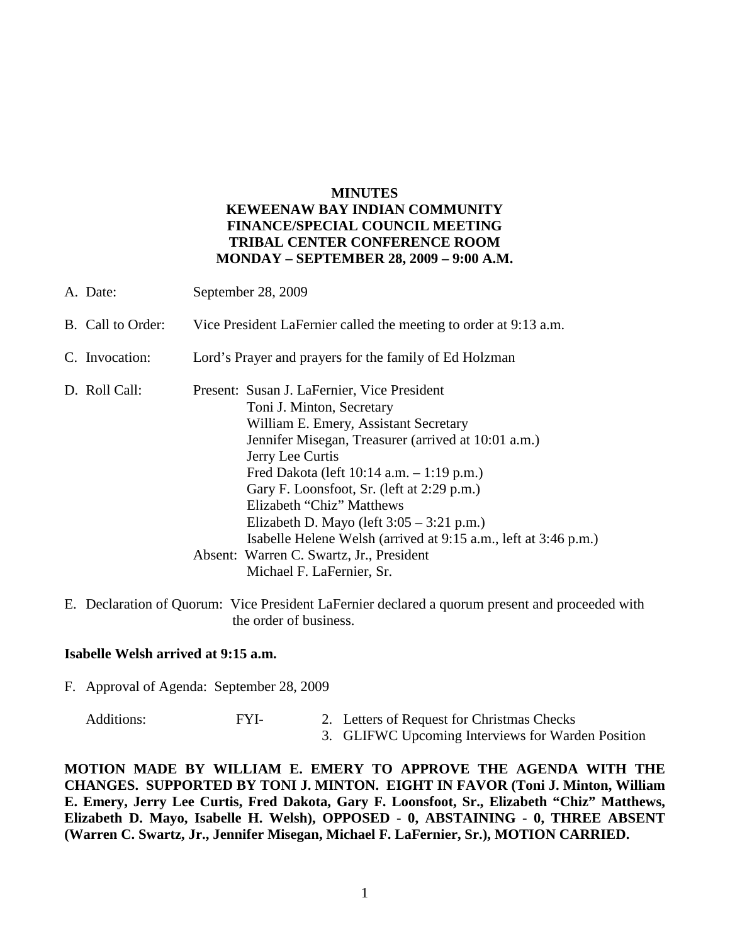## **MINUTES KEWEENAW BAY INDIAN COMMUNITY FINANCE/SPECIAL COUNCIL MEETING TRIBAL CENTER CONFERENCE ROOM MONDAY – SEPTEMBER 28, 2009 – 9:00 A.M.**

| A. Date:          | September 28, 2009                                                                                                                                                                                                                                                                                                                                                                                                                        |
|-------------------|-------------------------------------------------------------------------------------------------------------------------------------------------------------------------------------------------------------------------------------------------------------------------------------------------------------------------------------------------------------------------------------------------------------------------------------------|
| B. Call to Order: | Vice President LaFernier called the meeting to order at 9:13 a.m.                                                                                                                                                                                                                                                                                                                                                                         |
| C. Invocation:    | Lord's Prayer and prayers for the family of Ed Holzman                                                                                                                                                                                                                                                                                                                                                                                    |
| D. Roll Call:     | Present: Susan J. LaFernier, Vice President<br>Toni J. Minton, Secretary<br>William E. Emery, Assistant Secretary<br>Jennifer Misegan, Treasurer (arrived at 10:01 a.m.)<br>Jerry Lee Curtis<br>Fred Dakota (left $10:14$ a.m. $-1:19$ p.m.)<br>Gary F. Loonsfoot, Sr. (left at 2:29 p.m.)<br>Elizabeth "Chiz" Matthews<br>Elizabeth D. Mayo (left $3:05 - 3:21$ p.m.)<br>Isabelle Helene Welsh (arrived at 9:15 a.m., left at 3:46 p.m.) |
|                   | Absent: Warren C. Swartz, Jr., President<br>Michael F. LaFernier, Sr.                                                                                                                                                                                                                                                                                                                                                                     |

E. Declaration of Quorum: Vice President LaFernier declared a quorum present and proceeded with the order of business.

## **Isabelle Welsh arrived at 9:15 a.m.**

F. Approval of Agenda: September 28, 2009

- Additions: FYI- 2. Letters of Request for Christmas Checks
	- 3. GLIFWC Upcoming Interviews for Warden Position

**MOTION MADE BY WILLIAM E. EMERY TO APPROVE THE AGENDA WITH THE CHANGES. SUPPORTED BY TONI J. MINTON. EIGHT IN FAVOR (Toni J. Minton, William E. Emery, Jerry Lee Curtis, Fred Dakota, Gary F. Loonsfoot, Sr., Elizabeth "Chiz" Matthews, Elizabeth D. Mayo, Isabelle H. Welsh), OPPOSED - 0, ABSTAINING - 0, THREE ABSENT (Warren C. Swartz, Jr., Jennifer Misegan, Michael F. LaFernier, Sr.), MOTION CARRIED.**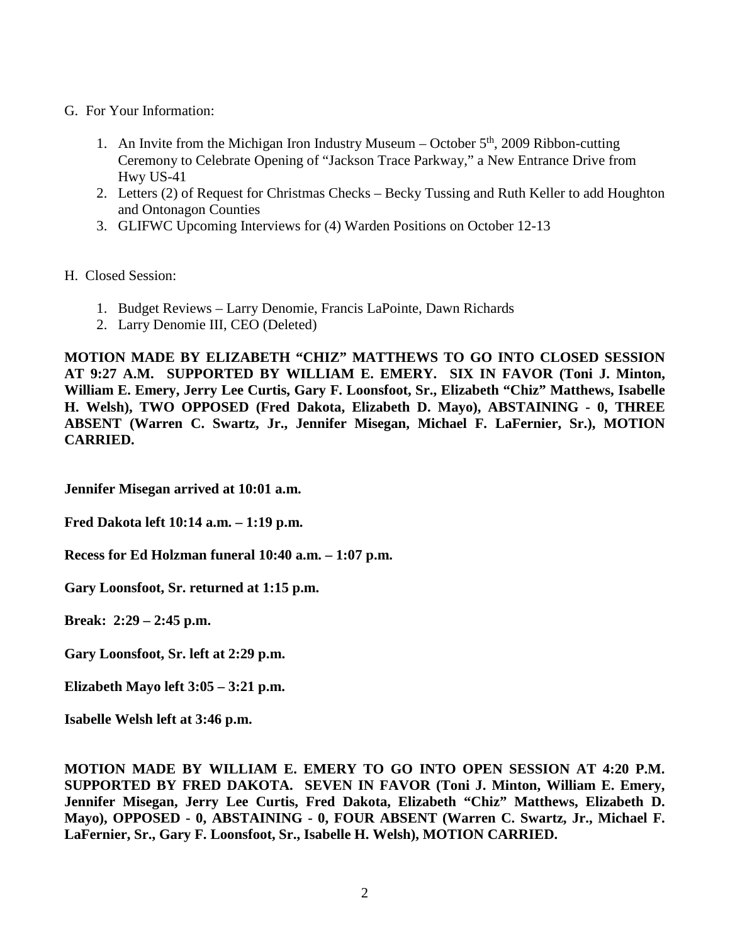- G. For Your Information:
	- 1. An Invite from the Michigan Iron Industry Museum October  $5<sup>th</sup>$ , 2009 Ribbon-cutting Ceremony to Celebrate Opening of "Jackson Trace Parkway," a New Entrance Drive from Hwy US-41
	- 2. Letters (2) of Request for Christmas Checks Becky Tussing and Ruth Keller to add Houghton and Ontonagon Counties
	- 3. GLIFWC Upcoming Interviews for (4) Warden Positions on October 12-13

H. Closed Session:

- 1. Budget Reviews Larry Denomie, Francis LaPointe, Dawn Richards
- 2. Larry Denomie III, CEO (Deleted)

**MOTION MADE BY ELIZABETH "CHIZ" MATTHEWS TO GO INTO CLOSED SESSION AT 9:27 A.M. SUPPORTED BY WILLIAM E. EMERY. SIX IN FAVOR (Toni J. Minton, William E. Emery, Jerry Lee Curtis, Gary F. Loonsfoot, Sr., Elizabeth "Chiz" Matthews, Isabelle H. Welsh), TWO OPPOSED (Fred Dakota, Elizabeth D. Mayo), ABSTAINING - 0, THREE ABSENT (Warren C. Swartz, Jr., Jennifer Misegan, Michael F. LaFernier, Sr.), MOTION CARRIED.**

**Jennifer Misegan arrived at 10:01 a.m.**

**Fred Dakota left 10:14 a.m. – 1:19 p.m.**

**Recess for Ed Holzman funeral 10:40 a.m. – 1:07 p.m.**

**Gary Loonsfoot, Sr. returned at 1:15 p.m.**

**Break: 2:29 – 2:45 p.m.**

**Gary Loonsfoot, Sr. left at 2:29 p.m.**

**Elizabeth Mayo left 3:05 – 3:21 p.m.**

**Isabelle Welsh left at 3:46 p.m.**

**MOTION MADE BY WILLIAM E. EMERY TO GO INTO OPEN SESSION AT 4:20 P.M. SUPPORTED BY FRED DAKOTA. SEVEN IN FAVOR (Toni J. Minton, William E. Emery, Jennifer Misegan, Jerry Lee Curtis, Fred Dakota, Elizabeth "Chiz" Matthews, Elizabeth D. Mayo), OPPOSED - 0, ABSTAINING - 0, FOUR ABSENT (Warren C. Swartz, Jr., Michael F. LaFernier, Sr., Gary F. Loonsfoot, Sr., Isabelle H. Welsh), MOTION CARRIED.**